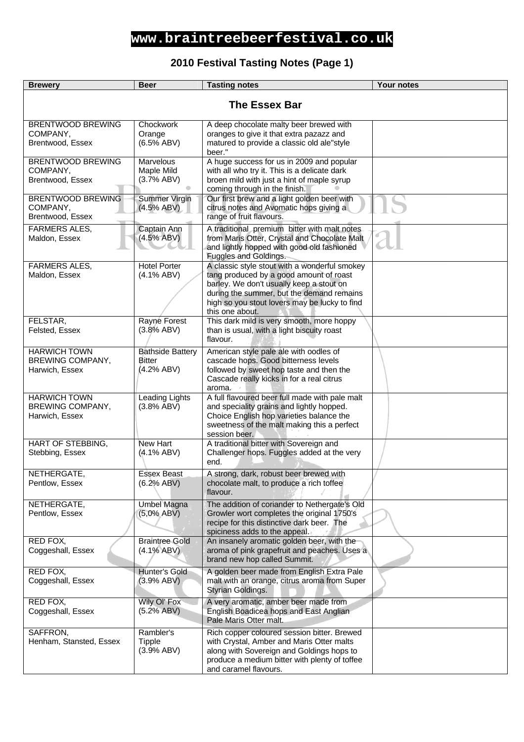### **2010 Festival Tasting Notes (Page 1)**

| <b>Brewery</b>                                            | <b>Beer</b>                                            | <b>Tasting notes</b>                                                                                                                                                                                                                                  | <b>Your notes</b> |
|-----------------------------------------------------------|--------------------------------------------------------|-------------------------------------------------------------------------------------------------------------------------------------------------------------------------------------------------------------------------------------------------------|-------------------|
| <b>The Essex Bar</b>                                      |                                                        |                                                                                                                                                                                                                                                       |                   |
| <b>BRENTWOOD BREWING</b><br>COMPANY,<br>Brentwood, Essex  | Chockwork<br>Orange<br>(6.5% ABV)                      | A deep chocolate malty beer brewed with<br>oranges to give it that extra pazazz and<br>matured to provide a classic old ale"style<br>beer."                                                                                                           |                   |
| <b>BRENTWOOD BREWING</b><br>COMPANY,<br>Brentwood, Essex  | Marvelous<br>Maple Mild<br>(3.7% ABV)                  | A huge success for us in 2009 and popular<br>with all who try it. This is a delicate dark<br>broen mild with just a hint of maple syrup<br>coming through in the finish.                                                                              |                   |
| BRENTWOOD BREWING<br>COMPANY,<br>Brentwood, Essex         | Summer Virgin<br>(4.5% ABV)                            | Our first brew and a light golden beer with<br>citrus notes and Avomatic hops giving a<br>range of fruit flavours.                                                                                                                                    |                   |
| <b>FARMERS ALES,</b><br>Maldon, Essex                     | Captain Ann<br>(4.5% ABV)                              | A traditional premium bitter with malt notes<br>from Maris Otter, Crystal and Chocolate Malt<br>and lightly hopped with good old fashioned<br>Fuggles and Goldings.                                                                                   |                   |
| <b>FARMERS ALES,</b><br>Maldon, Essex                     | <b>Hotel Porter</b><br>(4.1% ABV)                      | A classic style stout with a wonderful smokey<br>tang produced by a good amount of roast<br>barley. We don't usually keep a stout on<br>during the summer, but the demand remains<br>high so you stout lovers may be lucky to find<br>this one about. |                   |
| FELSTAR,<br>Felsted, Essex                                | Rayne Forest<br>(3.8% ABV)                             | This dark mild is very smooth, more hoppy<br>than is usual, with a light biscuity roast<br>flavour.                                                                                                                                                   |                   |
| <b>HARWICH TOWN</b><br>BREWING COMPANY,<br>Harwich, Essex | <b>Bathside Battery</b><br><b>Bitter</b><br>(4.2% ABV) | American style pale ale with oodles of<br>cascade hops. Good bitterness levels<br>followed by sweet hop taste and then the<br>Cascade really kicks in for a real citrus<br>aroma.                                                                     |                   |
| <b>HARWICH TOWN</b><br>BREWING COMPANY,<br>Harwich, Essex | <b>Leading Lights</b><br>(3.8% ABV)                    | A full flavoured beer full made with pale malt<br>and speciality grains and lightly hopped.<br>Choice English hop varieties balance the<br>sweetness of the malt making this a perfect<br>session beer.                                               |                   |
| <b>HART OF STEBBING,</b><br>Stebbing, Essex               | <b>New Hart</b><br>(4.1% ABV)                          | A traditional bitter with Sovereign and<br>Challenger hops. Fuggles added at the very<br>end.                                                                                                                                                         |                   |
| NETHERGATE,<br>Pentlow, Essex                             | <b>Essex Beast</b><br>(6.2% ABV)                       | A strong, dark, robust beer brewed with<br>chocolate malt, to produce a rich toffee<br>flavour.                                                                                                                                                       |                   |
| NETHERGATE,<br>Pentlow, Essex                             | <b>Umbel Magna</b><br>$(5,0\%$ ABV)                    | The addition of coriander to Nethergate's Old<br>Growler wort completes the original 1750's<br>recipe for this distinctive dark beer. The<br>spiciness adds to the appeal.                                                                            |                   |
| RED FOX,<br>Coggeshall, Essex                             | <b>Braintree Gold</b><br>$(4.1\% ABV)$                 | An insanely aromatic golden beer, with the<br>aroma of pink grapefruit and peaches. Uses a<br>brand new hop called Summit.                                                                                                                            |                   |
| RED FOX,<br>Coggeshall, Essex                             | Hunter's Gold<br>(3.9% ABV)                            | A golden beer made from English Extra Pale<br>malt with an orange, citrus aroma from Super<br>Styrian Goldings.                                                                                                                                       |                   |
| RED FOX,<br>Coggeshall, Essex                             | Wily Ol' Fox<br>(5.2% ABV)                             | A very aromatic, amber beer made from<br>English Boadicea hops and East Anglian<br>Pale Maris Otter malt.                                                                                                                                             |                   |
| SAFFRON,<br>Henham, Stansted, Essex                       | Rambler's<br>Tipple<br>(3.9% ABV)                      | Rich copper coloured session bitter. Brewed<br>with Crystal, Amber and Maris Otter malts<br>along with Sovereign and Goldings hops to<br>produce a medium bitter with plenty of toffee<br>and caramel flavours.                                       |                   |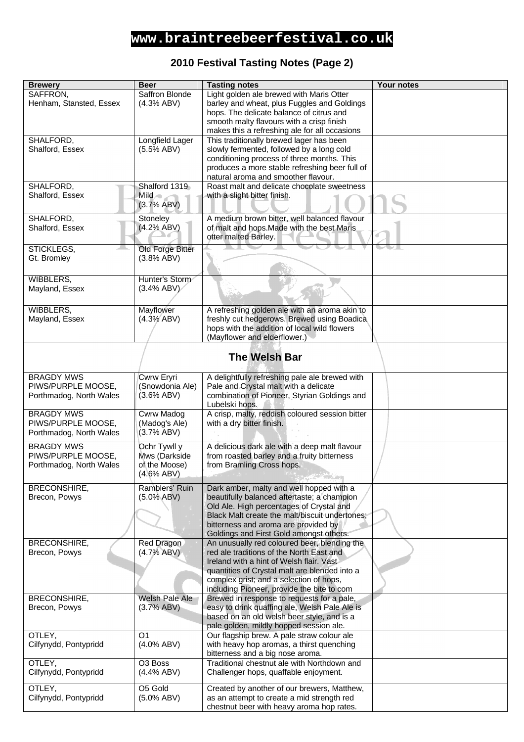### **2010 Festival Tasting Notes (Page 2)**

| <b>Brewery</b>                                | <b>Beer</b>                 | <b>Tasting notes</b>                                                                    | Your notes |
|-----------------------------------------------|-----------------------------|-----------------------------------------------------------------------------------------|------------|
| SAFFRON,                                      | <b>Saffron Blonde</b>       | Light golden ale brewed with Maris Otter                                                |            |
| Henham, Stansted, Essex                       | (4.3% ABV)                  | barley and wheat, plus Fuggles and Goldings                                             |            |
|                                               |                             | hops. The delicate balance of citrus and                                                |            |
|                                               |                             | smooth malty flavours with a crisp finish                                               |            |
|                                               |                             | makes this a refreshing ale for all occasions                                           |            |
| SHALFORD,                                     | Longfield Lager             | This traditionally brewed lager has been                                                |            |
| Shalford, Essex                               | (5.5% ABV)                  | slowly fermented, followed by a long cold<br>conditioning process of three months. This |            |
|                                               |                             | produces a more stable refreshing beer full of                                          |            |
|                                               |                             | natural aroma and smoother flavour.                                                     |            |
| SHALFORD,                                     | Shalford 1319               | Roast malt and delicate chocolate sweetness                                             |            |
| Shalford, Essex                               | Mild o                      | with a slight bitter finish.                                                            |            |
|                                               | (3.7% ABV)                  |                                                                                         |            |
|                                               |                             |                                                                                         |            |
| SHALFORD,                                     | Stoneley<br>(4.2% ABV)      | A medium brown bitter, well balanced flavour                                            |            |
| Shalford, Essex                               |                             | of malt and hops. Made with the best Maris<br>otter malted Barley.                      |            |
|                                               |                             |                                                                                         |            |
| STICKLEGS,                                    | Old Forge Bitter            |                                                                                         |            |
| Gt. Bromley                                   | (3.8% ABV)                  |                                                                                         |            |
|                                               |                             |                                                                                         |            |
| WIBBLERS,                                     | Hunter's Storm              |                                                                                         |            |
| Mayland, Essex                                | (3.4% ABV)                  |                                                                                         |            |
|                                               |                             |                                                                                         |            |
| <b>WIBBLERS,</b>                              | <b>Mayflower</b>            | A refreshing golden ale with an aroma akin to                                           |            |
| Mayland, Essex                                | (4.3% ABV)                  | freshly cut hedgerows. Brewed using Boadica                                             |            |
|                                               |                             | hops with the addition of local wild flowers                                            |            |
|                                               |                             | (Mayflower and elderflower.)                                                            |            |
|                                               |                             |                                                                                         |            |
|                                               |                             | <b>The Welsh Bar</b>                                                                    |            |
|                                               |                             |                                                                                         |            |
| <b>BRAGDY MWS</b>                             | Cwrw Eryri                  | A delightfully refreshing pale ale brewed with                                          |            |
| PIWS/PURPLE MOOSE,                            | (Snowdonia Ale)             | Pale and Crystal malt with a delicate                                                   |            |
| Porthmadog, North Wales                       | (3.6% ABV)                  | combination of Pioneer, Styrian Goldings and<br>Lubelski hops.                          |            |
| <b>BRAGDY MWS</b>                             | <b>Cwrw Madog</b>           | A crisp, malty, reddish coloured session bitter                                         |            |
| PIWS/PURPLE MOOSE,                            | (Madog's Ale)               | with a dry bitter finish.                                                               |            |
| Porthmadog, North Wales                       | (3.7% ABV)                  |                                                                                         |            |
|                                               |                             |                                                                                         |            |
| <b>BRAGDY MWS</b>                             | Ochr Tywll y                | A delicious dark ale with a deep malt flavour                                           |            |
| PIWS/PURPLE MOOSE,<br>Porthmadog, North Wales | Mws (Darkside               | from roasted barley and a fruity bitterness                                             |            |
|                                               | of the Moose)<br>(4.6% ABV) | from Bramling Cross hops.                                                               |            |
|                                               |                             |                                                                                         |            |
| <b>BRECONSHIRE,</b>                           | Ramblers' Ruin              | Dark amber, malty and well hopped with a                                                |            |
| Brecon, Powys                                 | $(5.0\% ABV)$               | beautifully balanced aftertaste; a champion                                             |            |
|                                               |                             | Old Ale. High percentages of Crystal and                                                |            |
|                                               |                             | Black Malt create the malt/biscuit undertones;                                          |            |
|                                               |                             | bitterness and aroma are provided by                                                    |            |
| <b>BRECONSHIRE,</b>                           | Red Dragon                  | Goldings and First Gold amongst others.<br>An unusually red coloured beer, blending the |            |
| Brecon, Powys                                 | (4.7% ABV)                  | red ale traditions of the North East and                                                |            |
|                                               |                             | Ireland with a hint of Welsh flair. Vast                                                |            |
|                                               |                             | quantities of Crystal malt are blended into a                                           |            |
|                                               |                             | complex grist; and a selection of hops,                                                 |            |
|                                               |                             | including Pioneer, provide the bite to com                                              |            |
| BRECONSHIRE,                                  | Welsh Pale Ale              | Brewed in response to requests for a pale,                                              |            |
| Brecon, Powys                                 | (3.7% ABV)                  | easy to drink quaffing ale, Welsh Pale Ale is                                           |            |
|                                               |                             | based on an old welsh beer style, and is a                                              |            |
|                                               |                             | pale golden, mildly hopped session ale.                                                 |            |
| OTLEY,                                        | O <sub>1</sub>              | Our flagship brew. A pale straw colour ale                                              |            |
| Cilfynydd, Pontypridd                         | (4.0% ABV)                  | with heavy hop aromas, a thirst quenching                                               |            |
|                                               |                             | bitterness and a big nose aroma.                                                        |            |
| OTLEY,                                        | O <sub>3</sub> Boss         | Traditional chestnut ale with Northdown and                                             |            |
| Cilfynydd, Pontypridd                         | (4.4% ABV)                  | Challenger hops, quaffable enjoyment.                                                   |            |
| OTLEY,                                        | O5 Gold                     | Created by another of our brewers, Matthew,                                             |            |
| Cilfynydd, Pontypridd                         | (5.0% ABV)                  | as an attempt to create a mid strength red                                              |            |
|                                               |                             | chestnut beer with heavy aroma hop rates.                                               |            |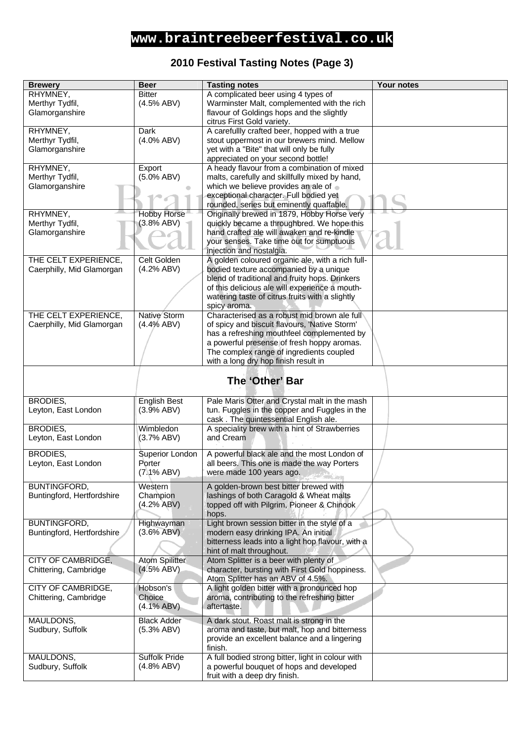### **2010 Festival Tasting Notes (Page 3)**

| <b>Brewery</b>             | <b>Beer</b>                         | <b>Tasting notes</b>                                                                     | Your notes |
|----------------------------|-------------------------------------|------------------------------------------------------------------------------------------|------------|
| RHYMNEY,                   | <b>Bitter</b>                       | A complicated beer using 4 types of                                                      |            |
| Merthyr Tydfil,            | (4.5% ABV)                          | Warminster Malt, complemented with the rich                                              |            |
| Glamorganshire             |                                     | flavour of Goldings hops and the slightly                                                |            |
|                            |                                     | citrus First Gold variety.                                                               |            |
| RHYMNEY,                   | Dark                                | A carefullly crafted beer, hopped with a true                                            |            |
| Merthyr Tydfil,            | $(4.0\%$ ABV)                       | stout uppermost in our brewers mind. Mellow                                              |            |
| Glamorganshire             |                                     | yet with a "Bite" that will only be fully                                                |            |
|                            |                                     | appreciated on your second bottle!                                                       |            |
| RHYMNEY,                   | Export                              | A heady flavour from a combination of mixed                                              |            |
| Merthyr Tydfil,            | $(5.0\%$ ABV)                       | malts, carefully and skillfully mixed by hand,                                           |            |
| Glamorganshire             |                                     | which we believe provides an ale of                                                      |            |
|                            |                                     | exceptional character. Full bodied yet                                                   |            |
| RHYMNEY,                   | <b>Hobby Horse</b>                  | rounded, series but eminently quaffable.<br>Originally brewed in 1879, Hobby Horse very  |            |
| Merthyr Tydfil,            | (3.8% ABV)                          | quickly became a throughbred. We hope this                                               |            |
| Glamorganshire             |                                     | hand crafted ale will awaken and re-kindle                                               |            |
|                            |                                     | your senses. Take time out for sumptuous                                                 |            |
|                            |                                     | injection and nostalgia.                                                                 |            |
| THE CELT EXPERIENCE,       | Celt Golden                         | A golden coloured organic ale, with a rich full-                                         |            |
| Caerphilly, Mid Glamorgan  | (4.2% ABV)                          | bodied texture accompanied by a unique                                                   |            |
|                            |                                     | blend of traditional and fruity hops. Drinkers                                           |            |
|                            |                                     | of this delicious ale will experience a mouth-                                           |            |
|                            |                                     | watering taste of citrus fruits with a slightly                                          |            |
|                            |                                     | spicy aroma.                                                                             |            |
| THE CELT EXPERIENCE,       | Native Storm                        | Characterised as a robust mid brown ale full                                             |            |
| Caerphilly, Mid Glamorgan  | (4.4% ABV)                          | of spicy and biscuit flavours, 'Native Storm'                                            |            |
|                            |                                     | has a refreshing mouthfeel complemented by                                               |            |
|                            |                                     | a powerful presense of fresh hoppy aromas.                                               |            |
|                            |                                     | The complex range of ingredients coupled                                                 |            |
|                            |                                     | with a long dry hop finish result in                                                     |            |
|                            |                                     |                                                                                          |            |
|                            |                                     | The 'Other' Bar                                                                          |            |
|                            |                                     |                                                                                          |            |
| <b>BRODIES,</b>            | <b>English Best</b>                 | Pale Maris Otter and Crystal malt in the mash                                            |            |
| Leyton, East London        | (3.9% ABV)                          | tun. Fuggles in the copper and Fuggles in the                                            |            |
|                            |                                     | cask. The quintessential English ale.                                                    |            |
| BRODIES,                   | Wimbledon                           | A speciality brew with a hint of Strawberries                                            |            |
| Leyton, East London        | (3.7% ABV)                          | and Cream                                                                                |            |
| BRODIES,                   | Superior London                     | A powerful black ale and the most London of                                              |            |
| Leyton, East London        | Porter                              | all beers. This one is made the way Porters                                              |            |
|                            | (7.1% ABV)                          | were made 100 years ago.                                                                 |            |
|                            |                                     |                                                                                          |            |
| BUNTINGFORD,               | Western                             | A golden-brown best bitter brewed with                                                   |            |
| Buntingford, Hertfordshire | Champion                            | lashings of both Caragold & Wheat malts                                                  |            |
|                            | (4.2% ABV)                          | topped off with Pilgrim, Pioneer & Chinook                                               |            |
|                            |                                     | hops.                                                                                    |            |
| <b>BUNTINGFORD,</b>        | Highwayman                          | Light brown session bitter in the style of a                                             |            |
| Buntingford, Hertfordshire | (3.6% ABV)                          | modern easy drinking IPA. An initial                                                     |            |
|                            |                                     | bitterness leads into a light hop flavour, with a                                        |            |
| <b>CITY OF CAMBRIDGE,</b>  |                                     | hint of malt throughout.                                                                 |            |
| Chittering, Cambridge      | <b>Atom Spilitter</b><br>(4.5% ABV) | Atom Splitter is a beer with plenty of<br>character, bursting with First Gold hoppiness. |            |
|                            |                                     | Atom Splitter has an ABV of 4.5%.                                                        |            |
| CITY OF CAMBRIDGE,         | Hobson's                            | A light golden bitter with a pronounced hop                                              |            |
| Chittering, Cambridge      | Choice                              | aroma, contributing to the refreshing bitter                                             |            |
|                            | $(4.1\%$ ABV)                       | aftertaste.                                                                              |            |
|                            |                                     |                                                                                          |            |
| MAULDONS,                  | <b>Black Adder</b>                  | A dark stout. Roast malt is strong in the                                                |            |
| Sudbury, Suffolk           | (5.3% ABV)                          | aroma and taste, but malt, hop and bitterness                                            |            |
|                            |                                     | provide an excellent balance and a lingering                                             |            |
|                            |                                     | finish.                                                                                  |            |
| MAULDONS,                  | Suffolk Pride                       | A full bodied strong bitter, light in colour with                                        |            |
| Sudbury, Suffolk           | (4.8% ABV)                          | a powerful bouquet of hops and developed                                                 |            |
|                            |                                     | fruit with a deep dry finish.                                                            |            |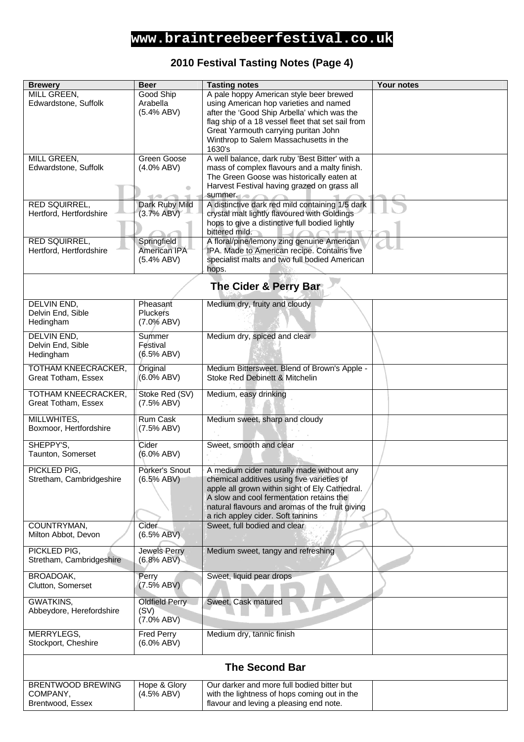## **2010 Festival Tasting Notes (Page 4)**

| <b>Brewery</b>                                           | <b>Beer</b>                                    | <b>Tasting notes</b>                                                                                                                                                                                                                                                              | Your notes |
|----------------------------------------------------------|------------------------------------------------|-----------------------------------------------------------------------------------------------------------------------------------------------------------------------------------------------------------------------------------------------------------------------------------|------------|
| MILL GREEN,<br>Edwardstone, Suffolk                      | Good Ship<br>Arabella<br>(5.4% ABV)            | A pale hoppy American style beer brewed<br>using American hop varieties and named<br>after the 'Good Ship Arbella' which was the<br>flag ship of a 18 vessel fleet that set sail from<br>Great Yarmouth carrying puritan John<br>Winthrop to Salem Massachusetts in the<br>1630's |            |
| MILL GREEN,<br>Edwardstone, Suffolk                      | Green Goose<br>$(4.0\%$ ABV)<br>۸              | A well balance, dark ruby 'Best Bitter' with a<br>mass of complex flavours and a malty finish.<br>The Green Goose was historically eaten at<br>Harvest Festival having grazed on grass all<br>summer.                                                                             |            |
| RED SQUIRREL,<br>Hertford, Hertfordshire                 | Dark Ruby Mild<br>(3.7% ABV)                   | A distinctive dark red mild containing 1/5 dark<br>crystal malt lightly flavoured with Goldings<br>hops to give a distinctive full bodied lightly<br>bittered mild.                                                                                                               |            |
| RED SQUIRREL,<br>Hertford, Hertfordshire                 | Springfield<br>American IPA<br>$(5.4\%$ ABV)   | A floral/pine/lemony zing genuine American<br>IPA. Made to American recipe. Contains five<br>specialist malts and two full bodied American<br>hops.                                                                                                                               |            |
|                                                          |                                                | The Cider & Perry Bar                                                                                                                                                                                                                                                             |            |
| <b>DELVIN END,</b><br>Delvin End, Sible<br>Hedingham     | Pheasant<br>Pluckers<br>(7.0% ABV)             | Medium dry, fruity and cloudy                                                                                                                                                                                                                                                     |            |
| <b>DELVIN END,</b><br>Delvin End, Sible<br>Hedingham     | Summer<br>Festival<br>(6.5% ABV)               | Medium dry, spiced and clear                                                                                                                                                                                                                                                      |            |
| <b>TOTHAM KNEECRACKER,</b><br>Great Totham, Essex        | Original<br>(6.0% ABV)                         | Medium Bittersweet. Blend of Brown's Apple -<br>Stoke Red Debinett & Mitchelin                                                                                                                                                                                                    |            |
| <b>TOTHAM KNEECRACKER,</b><br>Great Totham, Essex        | Stoke Red (SV)<br>(7.5% ABV)                   | Medium, easy drinking                                                                                                                                                                                                                                                             |            |
| MILLWHITES,<br>Boxmoor, Hertfordshire                    | Rum Cask<br>(7.5% ABV)                         | Medium sweet, sharp and cloudy                                                                                                                                                                                                                                                    |            |
| SHEPPY'S,<br>Taunton, Somerset                           | Cider<br>(6.0% ABV)                            | Sweet, smooth and clear                                                                                                                                                                                                                                                           |            |
| PICKLED PIG,<br>Stretham, Cambridgeshire                 | Porker's Snout<br>(6.5% ABV)                   | A medium cider naturally made without any<br>chemical additives using five varieties of<br>apple all grown within sight of Ely Cathedral.<br>A slow and cool fermentation retains the<br>natural flavours and aromas of the fruit giving<br>a rich appley cider. Soft tannins     |            |
| COUNTRYMAN,<br>Milton Abbot, Devon                       | <b>Cider</b><br>(6.5% ABV)                     | Sweet, full bodied and clear                                                                                                                                                                                                                                                      |            |
| PICKLED PIG,<br>Stretham, Cambridgeshire                 | <b>Jewels Perry</b><br>(6.8% ABV)              | Medium sweet, tangy and refreshing                                                                                                                                                                                                                                                |            |
| BROADOAK,<br>Clutton, Somerset                           | Perry<br>(7.5% ABV)                            | Sweet, liquid pear drops                                                                                                                                                                                                                                                          |            |
| GWATKINS,<br>Abbeydore, Herefordshire                    | <b>Oldfield Perry</b><br>(SV)<br>$(7.0\%$ ABV) | Sweet, Cask matured                                                                                                                                                                                                                                                               |            |
| MERRYLEGS,<br>Stockport, Cheshire                        | <b>Fred Perry</b><br>$(6.0\%$ ABV)             | Medium dry, tannic finish                                                                                                                                                                                                                                                         |            |
| <b>The Second Bar</b>                                    |                                                |                                                                                                                                                                                                                                                                                   |            |
| <b>BRENTWOOD BREWING</b><br>COMPANY,<br>Brentwood, Essex | Hope & Glory<br>(4.5% ABV)                     | Our darker and more full bodied bitter but<br>with the lightness of hops coming out in the<br>flavour and leving a pleasing end note.                                                                                                                                             |            |